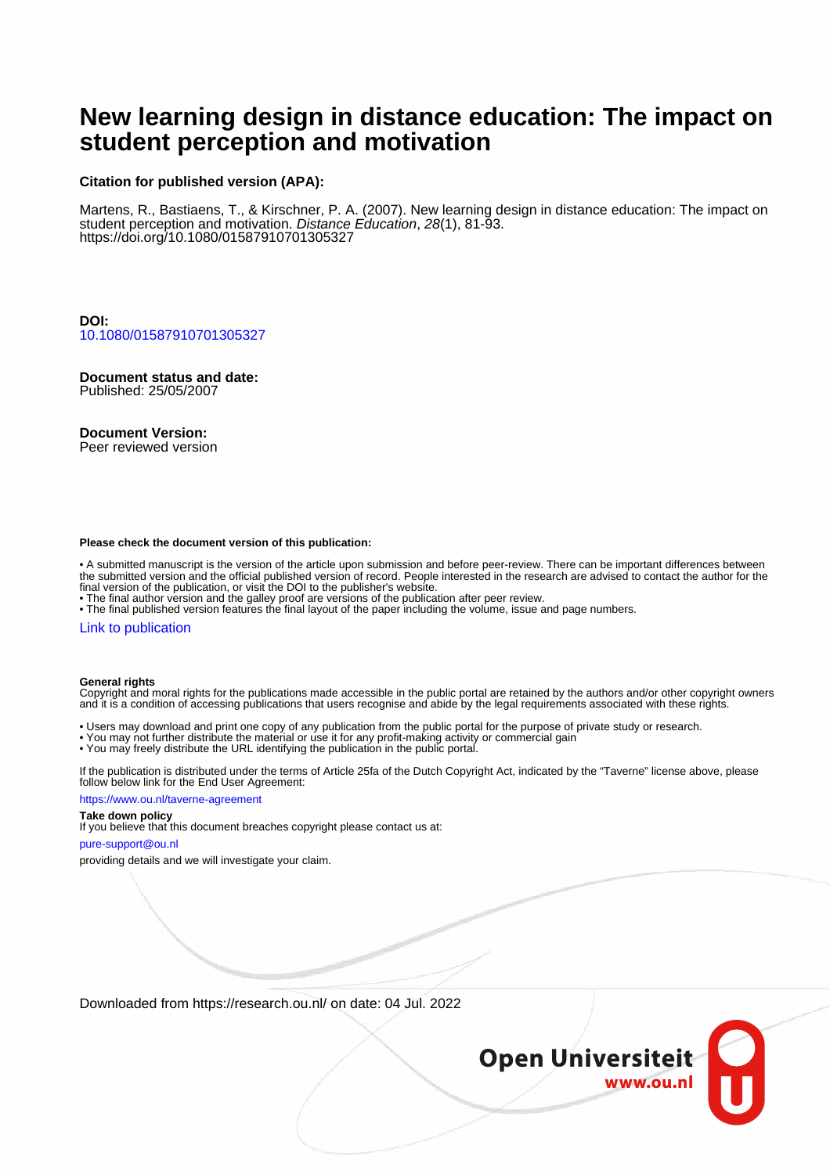# **New learning design in distance education: The impact on student perception and motivation**

## **Citation for published version (APA):**

Martens, R., Bastiaens, T., & Kirschner, P. A. (2007). New learning design in distance education: The impact on student perception and motivation. Distance Education, 28(1), 81-93. <https://doi.org/10.1080/01587910701305327>

**DOI:** [10.1080/01587910701305327](https://doi.org/10.1080/01587910701305327)

# **Document status and date:**

Published: 25/05/2007

## **Document Version:**

Peer reviewed version

#### **Please check the document version of this publication:**

• A submitted manuscript is the version of the article upon submission and before peer-review. There can be important differences between the submitted version and the official published version of record. People interested in the research are advised to contact the author for the final version of the publication, or visit the DOI to the publisher's website.

• The final author version and the galley proof are versions of the publication after peer review.

• The final published version features the final layout of the paper including the volume, issue and page numbers.

#### [Link to publication](https://research.ou.nl/en/publications/9d75a221-f6de-46b9-8eba-3ef86dd08caa)

#### **General rights**

Copyright and moral rights for the publications made accessible in the public portal are retained by the authors and/or other copyright owners and it is a condition of accessing publications that users recognise and abide by the legal requirements associated with these rights.

- Users may download and print one copy of any publication from the public portal for the purpose of private study or research.
- You may not further distribute the material or use it for any profit-making activity or commercial gain
- You may freely distribute the URL identifying the publication in the public portal.

If the publication is distributed under the terms of Article 25fa of the Dutch Copyright Act, indicated by the "Taverne" license above, please follow below link for the End User Agreement:

#### https://www.ou.nl/taverne-agreement

# **Take down policy**

If you believe that this document breaches copyright please contact us at:

#### pure-support@ou.nl

providing details and we will investigate your claim.

Downloaded from https://research.ou.nl/ on date: 04 Jul. 2022

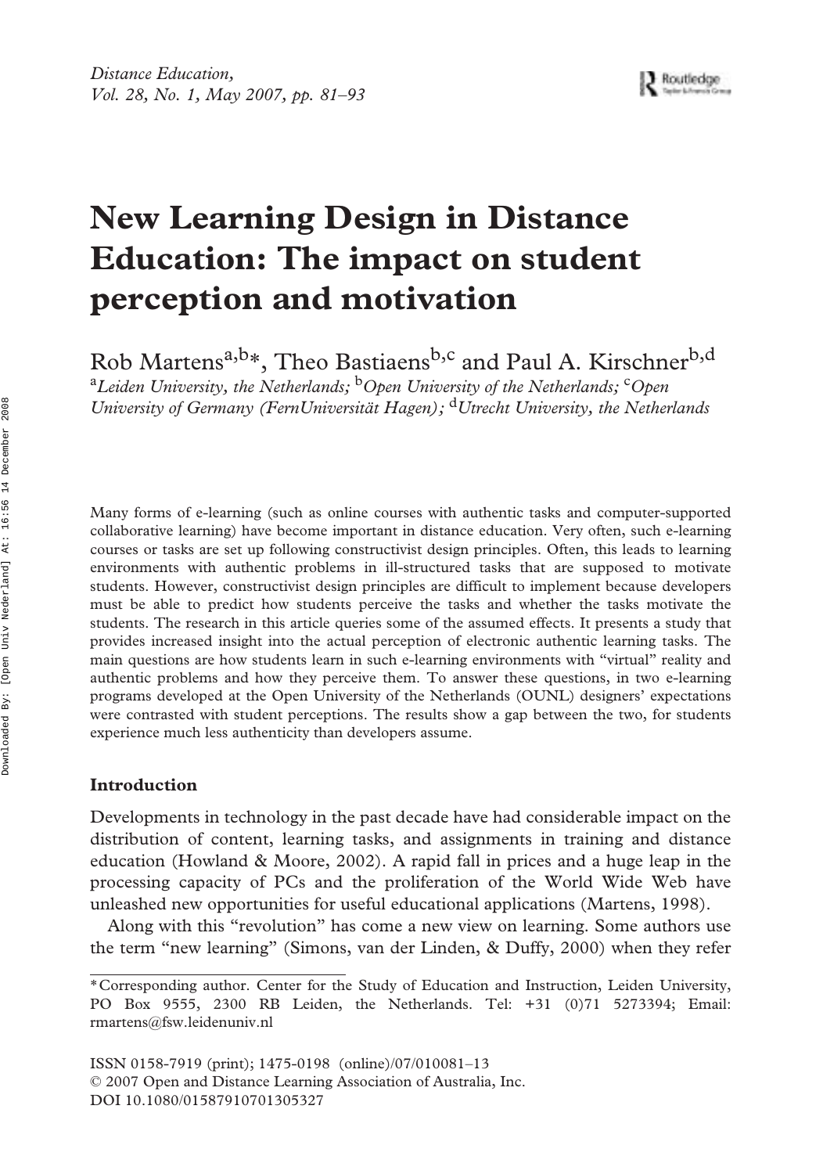# **New Learning Design in Distance Education: The impact on student perception and motivation**

Rob Martens<sup>a,b\*</sup>, Theo Bastiaens<sup>b,c</sup> and Paul A. Kirschner<sup>b,d</sup>

<sup>a</sup>Leiden University, the Netherlands; <sup>b</sup>Open University of the Netherlands; <sup>c</sup>Open *University of Germany (FernUniversität Hagen);* d*Utrecht University, the Netherlands*

Many forms of e-learning (such as online courses with authentic tasks and computer-supported collaborative learning) have become important in distance education. Very often, such e-learning courses or tasks are set up following constructivist design principles. Often, this leads to learning environments with authentic problems in ill-structured tasks that are supposed to motivate students. However, constructivist design principles are difficult to implement because developers must be able to predict how students perceive the tasks and whether the tasks motivate the students. The research in this article queries some of the assumed effects. It presents a study that provides increased insight into the actual perception of electronic authentic learning tasks. The main questions are how students learn in such e-learning environments with "virtual" reality and authentic problems and how they perceive them. To answer these questions, in two e-learning programs developed at the Open University of the Netherlands (OUNL) designers' expectations were contrasted with student perceptions. The results show a gap between the two, for students experience much less authenticity than developers assume.

# **Introduction**

Developments in technology in the past decade have had considerable impact on the distribution of content, learning tasks, and assignments in training and distance education (Howland & Moore, 2002). A rapid fall in prices and a huge leap in the processing capacity of PCs and the proliferation of the World Wide Web have unleashed new opportunities for useful educational applications (Martens, 1998).

Along with this "revolution" has come a new view on learning. Some authors use the term "new learning" (Simons, van der Linden, & Duffy, 2000) when they refer

ISSN 0158-7919 (print); 1475-0198 (online)/07/010081–13 © 2007 Open and Distance Learning Association of Australia, Inc. DOI 10.1080/01587910701305327

<sup>\*</sup>Corresponding author. Center for the Study of Education and Instruction, Leiden University, PO Box 9555, 2300 RB Leiden, the Netherlands. Tel: +31 (0)71 5273394; Email: rmartens@fsw.leidenuniv.nl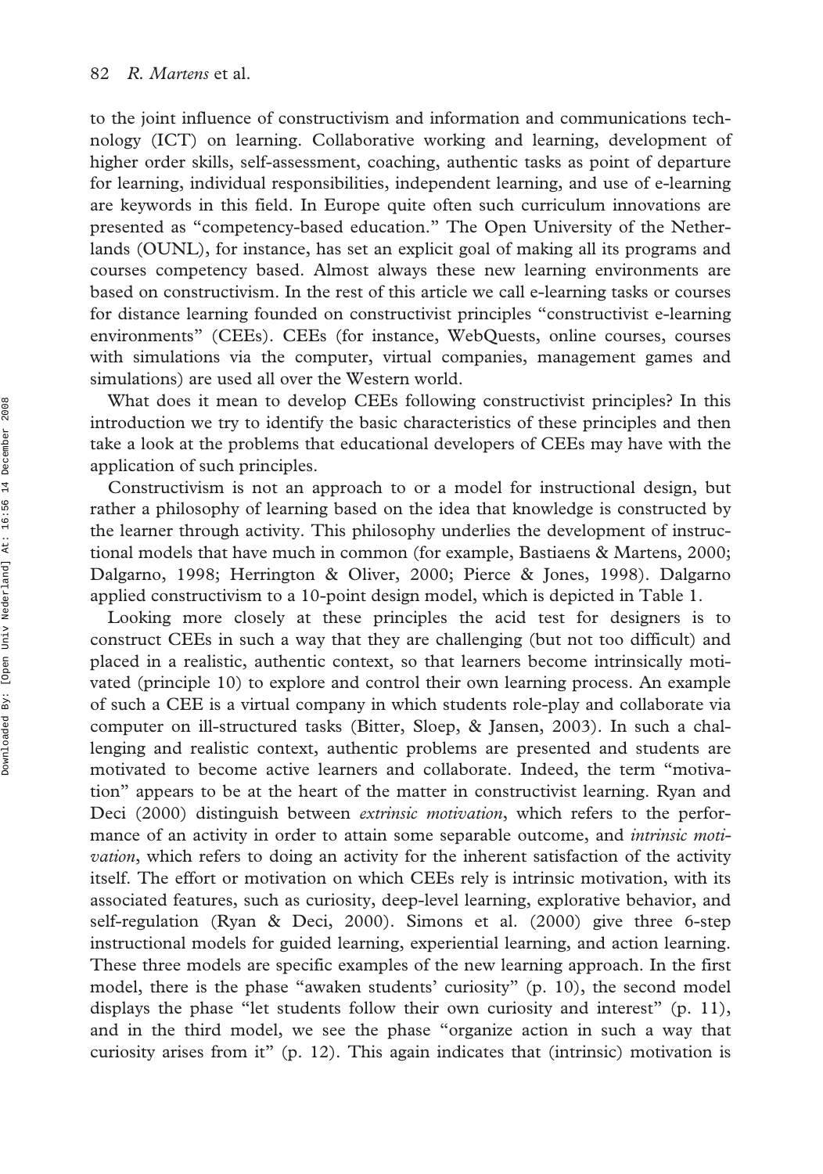to the joint influence of constructivism and information and communications technology (ICT) on learning. Collaborative working and learning, development of higher order skills, self-assessment, coaching, authentic tasks as point of departure for learning, individual responsibilities, independent learning, and use of e-learning are keywords in this field. In Europe quite often such curriculum innovations are presented as "competency-based education." The Open University of the Netherlands (OUNL), for instance, has set an explicit goal of making all its programs and courses competency based. Almost always these new learning environments are based on constructivism. In the rest of this article we call e-learning tasks or courses for distance learning founded on constructivist principles "constructivist e-learning environments" (CEEs). CEEs (for instance, WebQuests, online courses, courses with simulations via the computer, virtual companies, management games and simulations) are used all over the Western world.

What does it mean to develop CEEs following constructivist principles? In this introduction we try to identify the basic characteristics of these principles and then take a look at the problems that educational developers of CEEs may have with the application of such principles.

Constructivism is not an approach to or a model for instructional design, but rather a philosophy of learning based on the idea that knowledge is constructed by the learner through activity. This philosophy underlies the development of instructional models that have much in common (for example, Bastiaens & Martens, 2000; Dalgarno, 1998; Herrington & Oliver, 2000; Pierce & Jones, 1998). Dalgarno applied constructivism to a 10-point design model, which is depicted in Table 1.

Looking more closely at these principles the acid test for designers is to construct CEEs in such a way that they are challenging (but not too difficult) and placed in a realistic, authentic context, so that learners become intrinsically motivated (principle 10) to explore and control their own learning process. An example of such a CEE is a virtual company in which students role-play and collaborate via computer on ill-structured tasks (Bitter, Sloep, & Jansen, 2003). In such a challenging and realistic context, authentic problems are presented and students are motivated to become active learners and collaborate. Indeed, the term "motivation" appears to be at the heart of the matter in constructivist learning. Ryan and Deci (2000) distinguish between *extrinsic motivation*, which refers to the performance of an activity in order to attain some separable outcome, and *intrinsic motivation*, which refers to doing an activity for the inherent satisfaction of the activity itself. The effort or motivation on which CEEs rely is intrinsic motivation, with its associated features, such as curiosity, deep-level learning, explorative behavior, and self-regulation (Ryan & Deci, 2000). Simons et al. (2000) give three 6-step instructional models for guided learning, experiential learning, and action learning. These three models are specific examples of the new learning approach. In the first model, there is the phase "awaken students' curiosity" (p. 10), the second model displays the phase "let students follow their own curiosity and interest" (p. 11), and in the third model, we see the phase "organize action in such a way that curiosity arises from it" (p. 12). This again indicates that (intrinsic) motivation is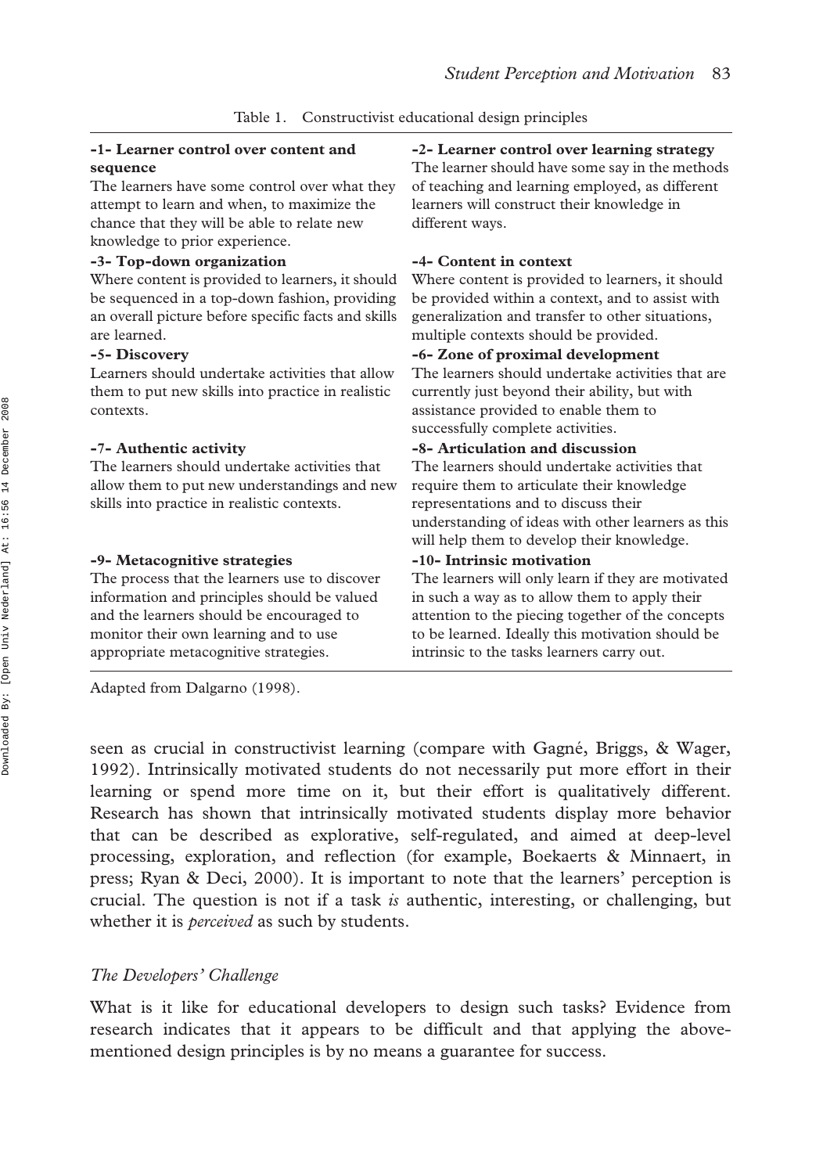#### **-1- Learner control over content and sequence**

The learners have some control over what they attempt to learn and when, to maximize the chance that they will be able to relate new knowledge to prior experience.

#### **-3- Top-down organization**

Where content is provided to learners, it should be sequenced in a top-down fashion, providing an overall picture before specific facts and skills are learned.

#### **-5- Discovery**

Learners should undertake activities that allow them to put new skills into practice in realistic contexts.

#### **-7- Authentic activity**

The learners should undertake activities that allow them to put new understandings and new skills into practice in realistic contexts.

#### **-9- Metacognitive strategies**

The process that the learners use to discover information and principles should be valued and the learners should be encouraged to monitor their own learning and to use appropriate metacognitive strategies.

Adapted from Dalgarno (1998).

#### **-2- Learner control over learning strategy**

The learner should have some say in the methods of teaching and learning employed, as different learners will construct their knowledge in different ways.

#### **-4- Content in context**

Where content is provided to learners, it should be provided within a context, and to assist with generalization and transfer to other situations, multiple contexts should be provided.

#### **-6- Zone of proximal development**

The learners should undertake activities that are currently just beyond their ability, but with assistance provided to enable them to successfully complete activities.

#### **-8- Articulation and discussion**

The learners should undertake activities that require them to articulate their knowledge representations and to discuss their understanding of ideas with other learners as this will help them to develop their knowledge.

#### **-10- Intrinsic motivation**

The learners will only learn if they are motivated in such a way as to allow them to apply their attention to the piecing together of the concepts to be learned. Ideally this motivation should be intrinsic to the tasks learners carry out.

seen as crucial in constructivist learning (compare with Gagné, Briggs, & Wager, 1992). Intrinsically motivated students do not necessarily put more effort in their learning or spend more time on it, but their effort is qualitatively different. Research has shown that intrinsically motivated students display more behavior that can be described as explorative, self-regulated, and aimed at deep-level processing, exploration, and reflection (for example, Boekaerts & Minnaert, in press; Ryan & Deci, 2000). It is important to note that the learners' perception is crucial. The question is not if a task *is* authentic, interesting, or challenging, but whether it is *perceived* as such by students.

### *The Developers' Challenge*

What is it like for educational developers to design such tasks? Evidence from research indicates that it appears to be difficult and that applying the abovementioned design principles is by no means a guarantee for success.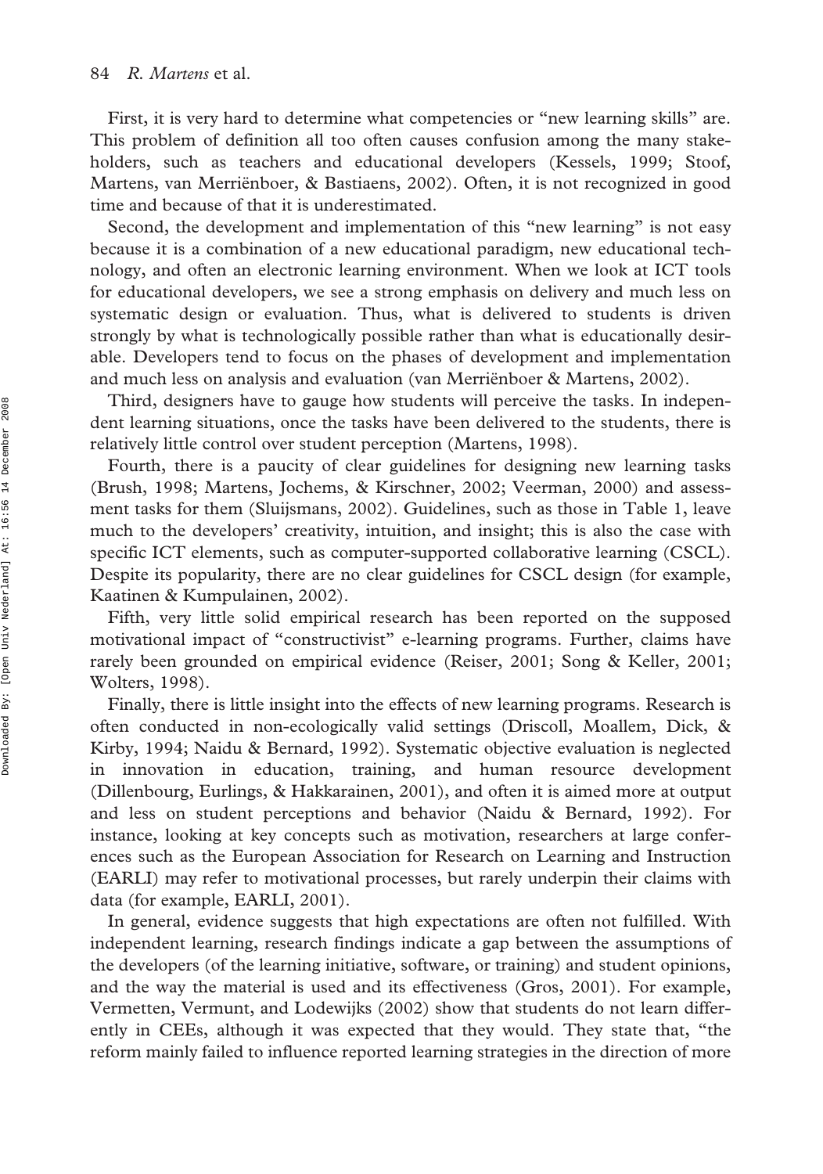First, it is very hard to determine what competencies or "new learning skills" are. This problem of definition all too often causes confusion among the many stakeholders, such as teachers and educational developers (Kessels, 1999; Stoof, Martens, van Merriënboer, & Bastiaens, 2002). Often, it is not recognized in good time and because of that it is underestimated.

Second, the development and implementation of this "new learning" is not easy because it is a combination of a new educational paradigm, new educational technology, and often an electronic learning environment. When we look at ICT tools for educational developers, we see a strong emphasis on delivery and much less on systematic design or evaluation. Thus, what is delivered to students is driven strongly by what is technologically possible rather than what is educationally desirable. Developers tend to focus on the phases of development and implementation and much less on analysis and evaluation (van Merriënboer & Martens, 2002).

Third, designers have to gauge how students will perceive the tasks. In independent learning situations, once the tasks have been delivered to the students, there is relatively little control over student perception (Martens, 1998).

Fourth, there is a paucity of clear guidelines for designing new learning tasks (Brush, 1998; Martens, Jochems, & Kirschner, 2002; Veerman, 2000) and assessment tasks for them (Sluijsmans, 2002). Guidelines, such as those in Table 1, leave much to the developers' creativity, intuition, and insight; this is also the case with specific ICT elements, such as computer-supported collaborative learning (CSCL). Despite its popularity, there are no clear guidelines for CSCL design (for example, Kaatinen & Kumpulainen, 2002).

Fifth, very little solid empirical research has been reported on the supposed motivational impact of "constructivist" e-learning programs. Further, claims have rarely been grounded on empirical evidence (Reiser, 2001; Song & Keller, 2001; Wolters, 1998).

Finally, there is little insight into the effects of new learning programs. Research is often conducted in non-ecologically valid settings (Driscoll, Moallem, Dick, & Kirby, 1994; Naidu & Bernard, 1992). Systematic objective evaluation is neglected in innovation in education, training, and human resource development (Dillenbourg, Eurlings, & Hakkarainen, 2001), and often it is aimed more at output and less on student perceptions and behavior (Naidu & Bernard, 1992). For instance, looking at key concepts such as motivation, researchers at large conferences such as the European Association for Research on Learning and Instruction (EARLI) may refer to motivational processes, but rarely underpin their claims with data (for example, EARLI, 2001).

In general, evidence suggests that high expectations are often not fulfilled. With independent learning, research findings indicate a gap between the assumptions of the developers (of the learning initiative, software, or training) and student opinions, and the way the material is used and its effectiveness (Gros, 2001). For example, Vermetten, Vermunt, and Lodewijks (2002) show that students do not learn differently in CEEs, although it was expected that they would. They state that, "the reform mainly failed to influence reported learning strategies in the direction of more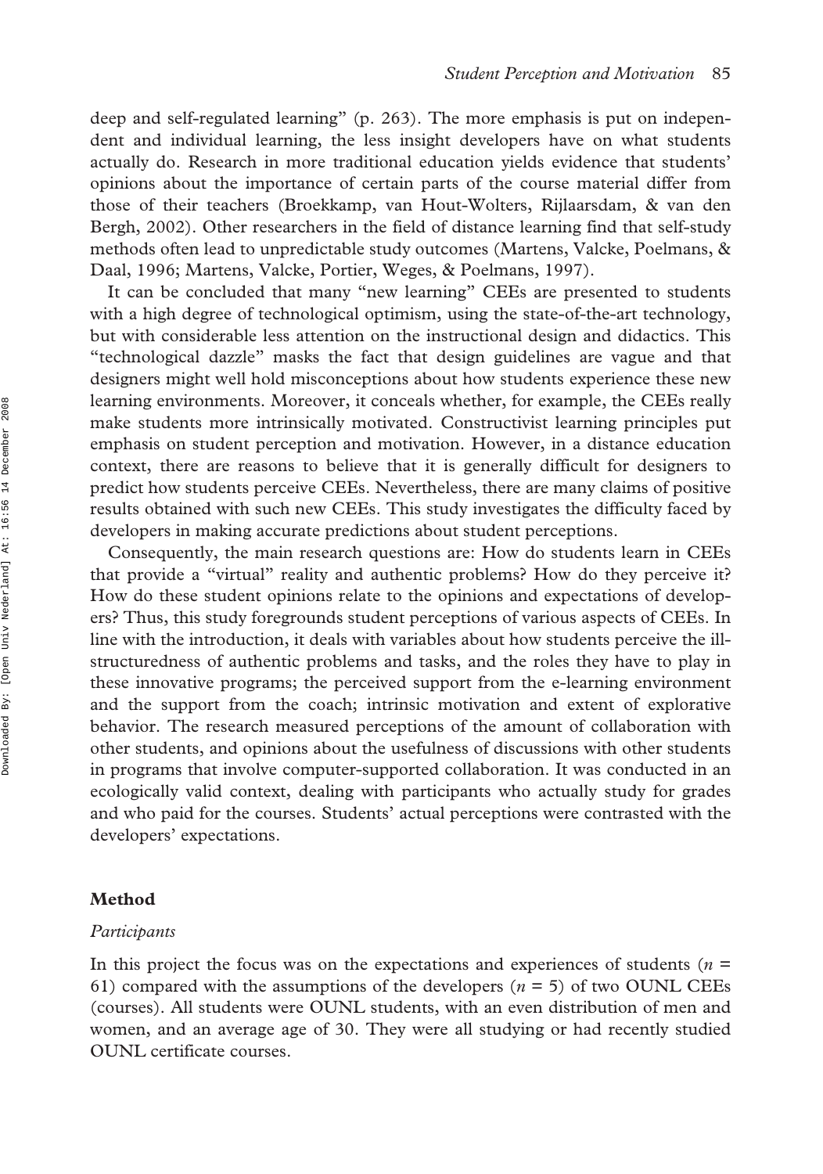deep and self-regulated learning" (p. 263). The more emphasis is put on independent and individual learning, the less insight developers have on what students actually do. Research in more traditional education yields evidence that students' opinions about the importance of certain parts of the course material differ from those of their teachers (Broekkamp, van Hout-Wolters, Rijlaarsdam, & van den Bergh, 2002). Other researchers in the field of distance learning find that self-study methods often lead to unpredictable study outcomes (Martens, Valcke, Poelmans, & Daal, 1996; Martens, Valcke, Portier, Weges, & Poelmans, 1997).

It can be concluded that many "new learning" CEEs are presented to students with a high degree of technological optimism, using the state-of-the-art technology, but with considerable less attention on the instructional design and didactics. This "technological dazzle" masks the fact that design guidelines are vague and that designers might well hold misconceptions about how students experience these new learning environments. Moreover, it conceals whether, for example, the CEEs really make students more intrinsically motivated. Constructivist learning principles put emphasis on student perception and motivation. However, in a distance education context, there are reasons to believe that it is generally difficult for designers to predict how students perceive CEEs. Nevertheless, there are many claims of positive results obtained with such new CEEs. This study investigates the difficulty faced by developers in making accurate predictions about student perceptions.

Consequently, the main research questions are: How do students learn in CEEs that provide a "virtual" reality and authentic problems? How do they perceive it? How do these student opinions relate to the opinions and expectations of developers? Thus, this study foregrounds student perceptions of various aspects of CEEs. In line with the introduction, it deals with variables about how students perceive the illstructuredness of authentic problems and tasks, and the roles they have to play in these innovative programs; the perceived support from the e-learning environment and the support from the coach; intrinsic motivation and extent of explorative behavior. The research measured perceptions of the amount of collaboration with other students, and opinions about the usefulness of discussions with other students in programs that involve computer-supported collaboration. It was conducted in an ecologically valid context, dealing with participants who actually study for grades and who paid for the courses. Students' actual perceptions were contrasted with the developers' expectations.

#### **Method**

#### *Participants*

In this project the focus was on the expectations and experiences of students (*n* = 61) compared with the assumptions of the developers (*n* = 5) of two OUNL CEEs (courses). All students were OUNL students, with an even distribution of men and women, and an average age of 30. They were all studying or had recently studied OUNL certificate courses.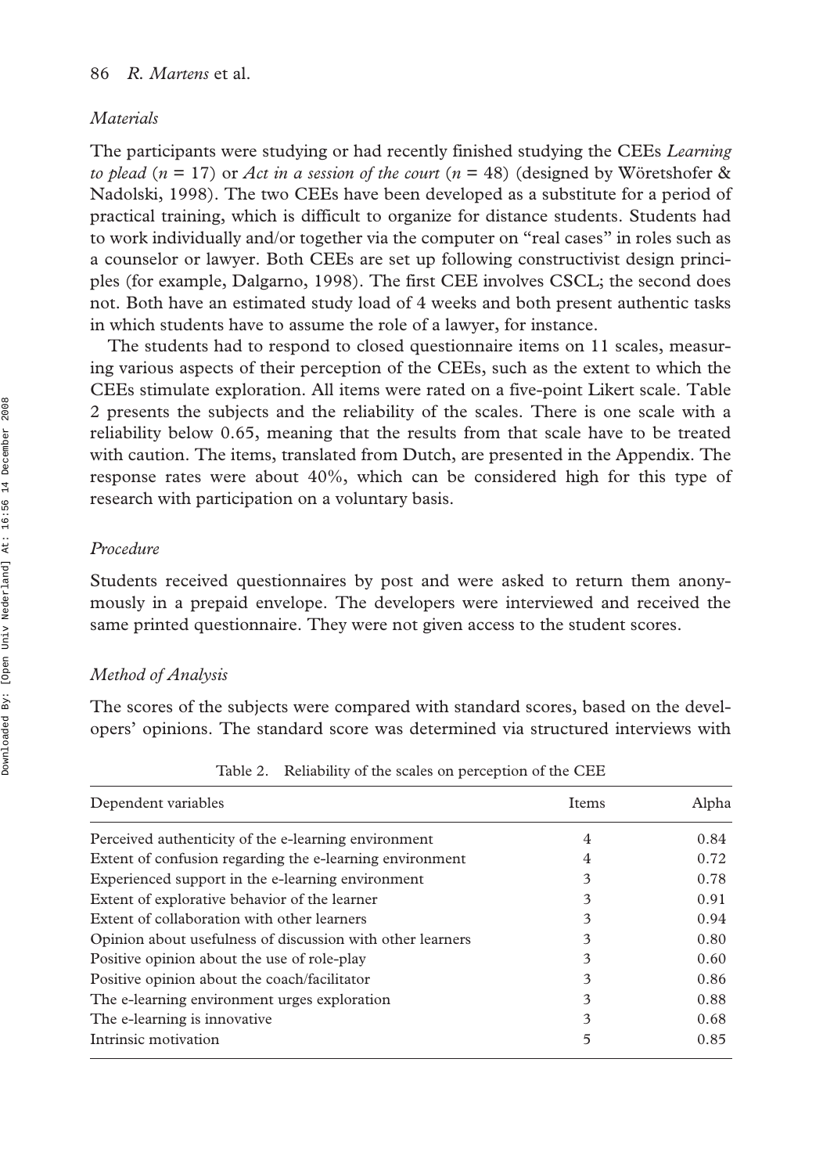#### *Materials*

The participants were studying or had recently finished studying the CEEs *Learning to plead* (*n* = 17) or *Act in a session of the court* (*n* = 48) (designed by Wöretshofer & Nadolski, 1998). The two CEEs have been developed as a substitute for a period of practical training, which is difficult to organize for distance students. Students had to work individually and/or together via the computer on "real cases" in roles such as a counselor or lawyer. Both CEEs are set up following constructivist design principles (for example, Dalgarno, 1998). The first CEE involves CSCL; the second does not. Both have an estimated study load of 4 weeks and both present authentic tasks in which students have to assume the role of a lawyer, for instance.

The students had to respond to closed questionnaire items on 11 scales, measuring various aspects of their perception of the CEEs, such as the extent to which the CEEs stimulate exploration. All items were rated on a five-point Likert scale. Table 2 presents the subjects and the reliability of the scales. There is one scale with a reliability below 0.65, meaning that the results from that scale have to be treated with caution. The items, translated from Dutch, are presented in the Appendix. The response rates were about 40%, which can be considered high for this type of research with participation on a voluntary basis.

#### *Procedure*

Students received questionnaires by post and were asked to return them anonymously in a prepaid envelope. The developers were interviewed and received the same printed questionnaire. They were not given access to the student scores.

#### *Method of Analysis*

The scores of the subjects were compared with standard scores, based on the developers' opinions. The standard score was determined via structured interviews with

| Dependent variables                                        | Items | Alpha |
|------------------------------------------------------------|-------|-------|
| Perceived authenticity of the e-learning environment       | 4     | 0.84  |
| Extent of confusion regarding the e-learning environment   | 4     | 0.72  |
| Experienced support in the e-learning environment          | 3     | 0.78  |
| Extent of explorative behavior of the learner              | 3     | 0.91  |
| Extent of collaboration with other learners                | 3     | 0.94  |
| Opinion about usefulness of discussion with other learners | 3     | 0.80  |
| Positive opinion about the use of role-play                | 3     | 0.60  |
| Positive opinion about the coach/facilitator               | 3     | 0.86  |
| The e-learning environment urges exploration               | 3     | 0.88  |
| The e-learning is innovative.                              | 3     | 0.68  |
| Intrinsic motivation                                       | 5     | 0.85  |

Table 2. Reliability of the scales on perception of the CEE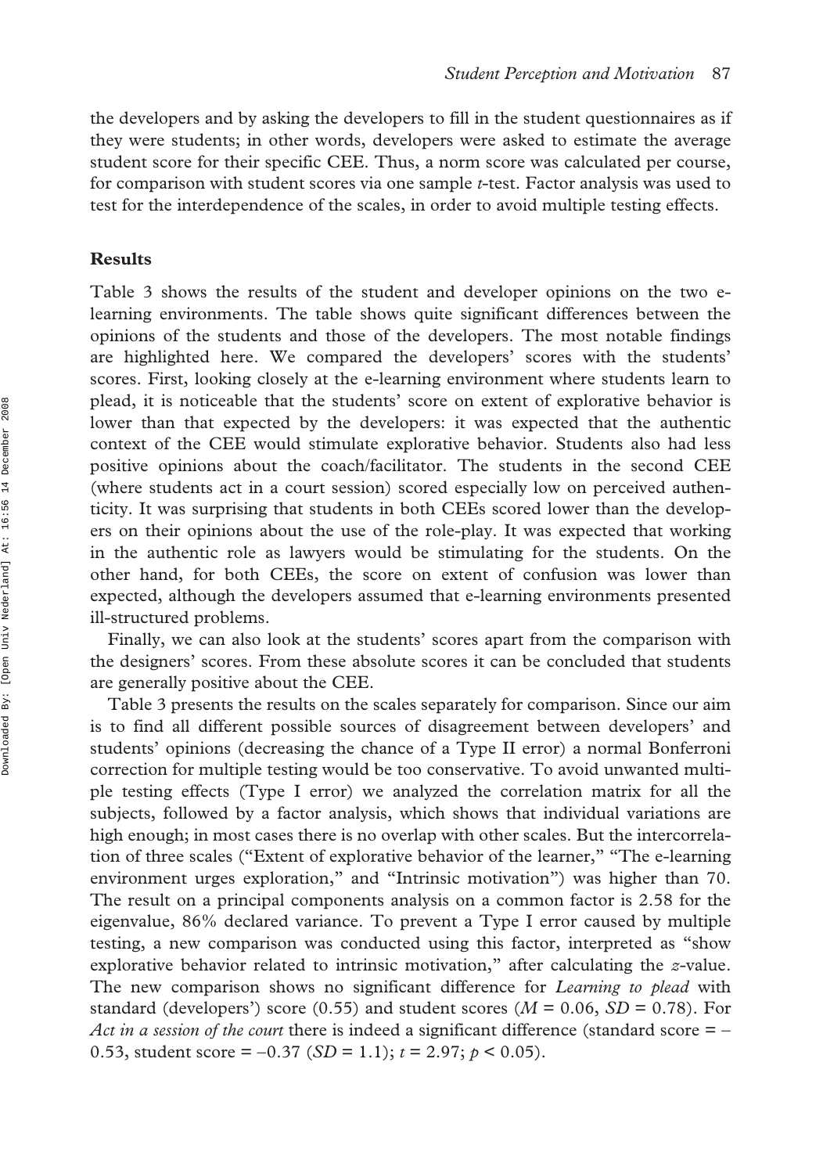the developers and by asking the developers to fill in the student questionnaires as if they were students; in other words, developers were asked to estimate the average student score for their specific CEE. Thus, a norm score was calculated per course, for comparison with student scores via one sample *t*-test. Factor analysis was used to test for the interdependence of the scales, in order to avoid multiple testing effects.

#### **Results**

Table 3 shows the results of the student and developer opinions on the two elearning environments. The table shows quite significant differences between the opinions of the students and those of the developers. The most notable findings are highlighted here. We compared the developers' scores with the students' scores. First, looking closely at the e-learning environment where students learn to plead, it is noticeable that the students' score on extent of explorative behavior is lower than that expected by the developers: it was expected that the authentic context of the CEE would stimulate explorative behavior. Students also had less positive opinions about the coach/facilitator. The students in the second CEE (where students act in a court session) scored especially low on perceived authenticity. It was surprising that students in both CEEs scored lower than the developers on their opinions about the use of the role-play. It was expected that working in the authentic role as lawyers would be stimulating for the students. On the other hand, for both CEEs, the score on extent of confusion was lower than expected, although the developers assumed that e-learning environments presented ill-structured problems.

Finally, we can also look at the students' scores apart from the comparison with the designers' scores. From these absolute scores it can be concluded that students are generally positive about the CEE.

Table 3 presents the results on the scales separately for comparison. Since our aim is to find all different possible sources of disagreement between developers' and students' opinions (decreasing the chance of a Type II error) a normal Bonferroni correction for multiple testing would be too conservative. To avoid unwanted multiple testing effects (Type I error) we analyzed the correlation matrix for all the subjects, followed by a factor analysis, which shows that individual variations are high enough; in most cases there is no overlap with other scales. But the intercorrelation of three scales ("Extent of explorative behavior of the learner," "The e-learning environment urges exploration," and "Intrinsic motivation") was higher than 70. The result on a principal components analysis on a common factor is 2.58 for the eigenvalue, 86% declared variance. To prevent a Type I error caused by multiple testing, a new comparison was conducted using this factor, interpreted as "show explorative behavior related to intrinsic motivation," after calculating the *z*-value. The new comparison shows no significant difference for *Learning to plead* with standard (developers') score (0.55) and student scores ( $M = 0.06$ ,  $SD = 0.78$ ). For *Act in a session of the court* there is indeed a significant difference (standard score = − 0.53, student score = −0.37 (*SD* = 1.1); *t* = 2.97; *p* < 0.05).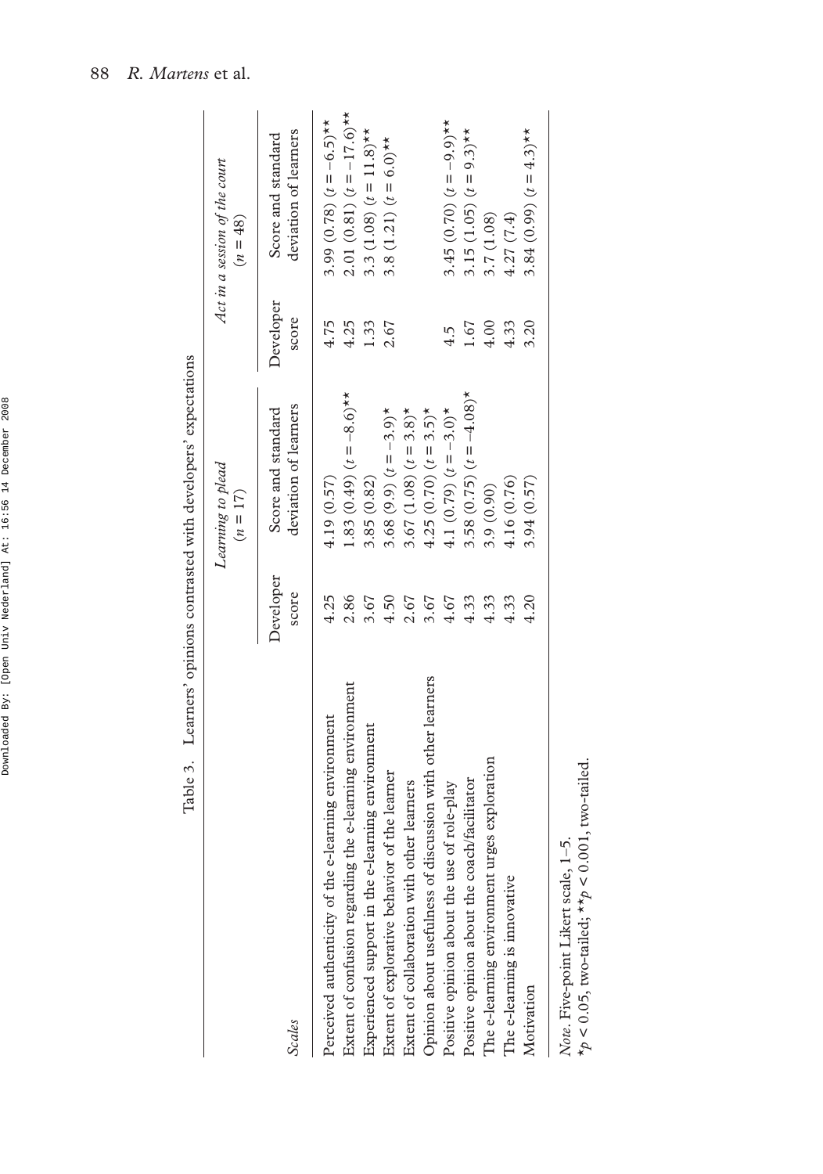|                                                            |                    | Table 3. Learners' opinions contrasted with developers' expectations |                    |                                             |
|------------------------------------------------------------|--------------------|----------------------------------------------------------------------|--------------------|---------------------------------------------|
|                                                            |                    | Learning to plead<br>$(n = 17)$                                      |                    | Act in a session of the court<br>$(n = 48)$ |
| <b>Scales</b>                                              | Developer<br>score | deviation of learners<br>Score and standard                          | Developer<br>score | deviation of learners<br>Score and standard |
| Perceived authenticity of the e-learning environment       | 4.25               | 4.19(0.57)                                                           | 4.75               | 3.99 (0.78) $(t = -6.5)$ **                 |
| Extent of confusion regarding the e-learning environment   | 2.86               | 1.83 (0.49) $(t = -8.6)$ **                                          | 4.25               | 2.01 (0.81) $(t = -17.6)$ **                |
| Experienced support in the e-learning environment          | 3.67               | 3.85 (0.82)                                                          | 1.33               | 3.3 (1.08) $(t = 11.8)$ **                  |
| Extent of explorative behavior of the learner              | 4.50               | 3.68 (9.9) $(t = -3.9)^*$                                            | 2.67               | 3.8 (1.21) $(t = 6.0)$ **                   |
| Extent of collaboration with other learners                | 2.67               | 3.67 (1.08) $(t = 3.8)^*$                                            |                    |                                             |
| Opinion about usefulness of discussion with other learners | 3.67               | 4.25 (0.70) $(t = 3.5)^*$                                            |                    |                                             |
| Positive opinion about the use of role-play                | 4.67               | 4.1 (0.79) $(t = -3.0)^*$                                            | 4.5                | 3.45 (0.70) $(t = -9.9)^{**}$               |
| Positive opinion about the coach/facilitator               | 4.33               | 3.58 (0.75) $(t = -4.08)^*$                                          | 1.67               | 3.15 (1.05) $(t = 9.3)$ **                  |
| The e-learning environment urges exploration               | 4.33               | 3.9(0.90)                                                            | 4.00               | 3.7 (1.08)                                  |
| The e-learning is innovative                               | 4.33               | 4.16 (0.76)                                                          | 4.33               | 4.27(7.4)                                   |
| Motivation                                                 | 4.20               | 3.94 (0.57)                                                          | 3.20               | 3.84 (0.99) $(t = 4.3)$ **                  |
|                                                            |                    |                                                                      |                    |                                             |

Table 3. Learners' opinions contrasted with developers' expectations

88 *R. Martens* et al.

Note. Five-point Likert scale, 1–5.<br>\* $p < 0.05$ , two-tailed; \*\* $p < 0.001$ , two-tailed.  $*_{p}$  < 0.05, two-tailed;  $*_{p}$  < 0.001, two-tailed. *Note*. Five-point Likert scale, 1–5.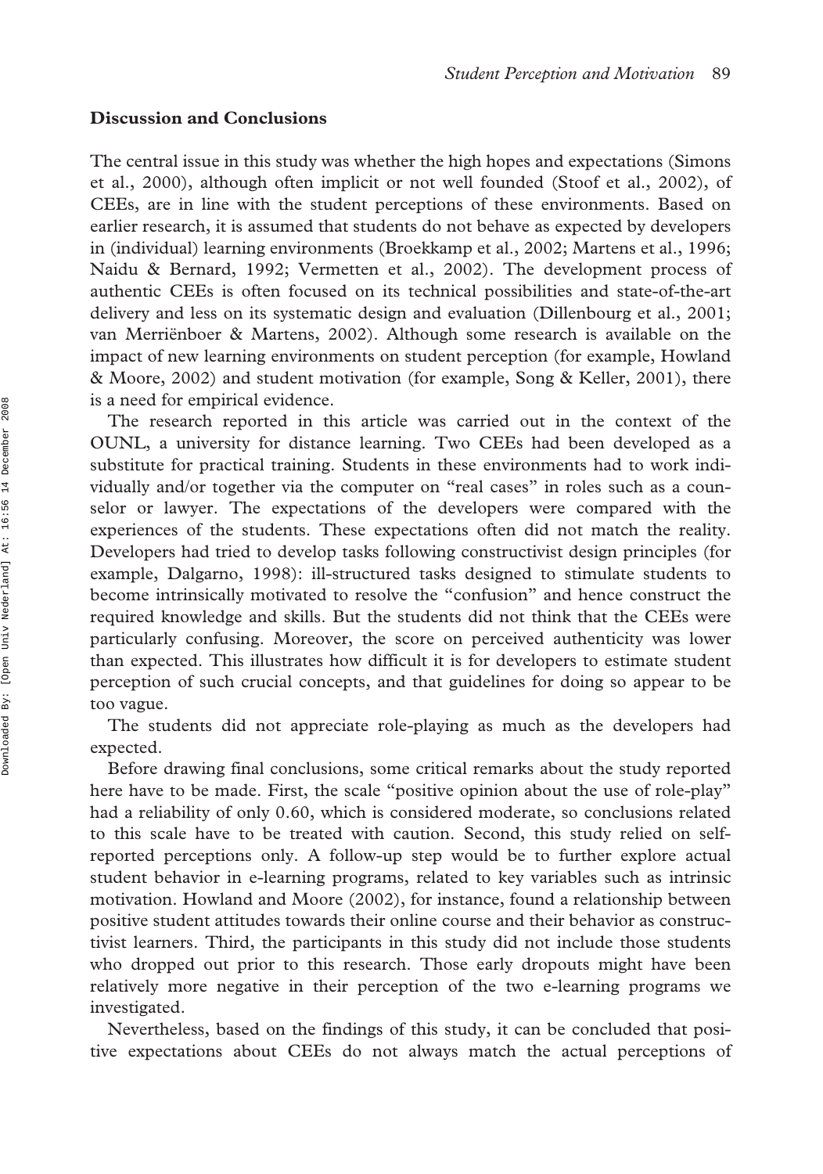#### **Discussion and Conclusions**

The central issue in this study was whether the high hopes and expectations (Simons et al., 2000), although often implicit or not well founded (Stoof et al., 2002), of CEEs, are in line with the student perceptions of these environments. Based on earlier research, it is assumed that students do not behave as expected by developers in (individual) learning environments (Broekkamp et al., 2002; Martens et al., 1996; Naidu & Bernard, 1992; Vermetten et al., 2002). The development process of authentic CEEs is often focused on its technical possibilities and state-of-the-art delivery and less on its systematic design and evaluation (Dillenbourg et al., 2001; van Merriënboer & Martens, 2002). Although some research is available on the impact of new learning environments on student perception (for example, Howland & Moore, 2002) and student motivation (for example, Song & Keller, 2001), there is a need for empirical evidence.

The research reported in this article was carried out in the context of the OUNL, a university for distance learning. Two CEEs had been developed as a substitute for practical training. Students in these environments had to work individually and/or together via the computer on "real cases" in roles such as a counselor or lawyer. The expectations of the developers were compared with the experiences of the students. These expectations often did not match the reality. Developers had tried to develop tasks following constructivist design principles (for example, Dalgarno, 1998): ill-structured tasks designed to stimulate students to become intrinsically motivated to resolve the "confusion" and hence construct the required knowledge and skills. But the students did not think that the CEEs were particularly confusing. Moreover, the score on perceived authenticity was lower than expected. This illustrates how difficult it is for developers to estimate student perception of such crucial concepts, and that guidelines for doing so appear to be too vague.

The students did not appreciate role-playing as much as the developers had expected.

Before drawing final conclusions, some critical remarks about the study reported here have to be made. First, the scale "positive opinion about the use of role-play" had a reliability of only 0.60, which is considered moderate, so conclusions related to this scale have to be treated with caution. Second, this study relied on selfreported perceptions only. A follow-up step would be to further explore actual student behavior in e-learning programs, related to key variables such as intrinsic motivation. Howland and Moore (2002), for instance, found a relationship between positive student attitudes towards their online course and their behavior as constructivist learners. Third, the participants in this study did not include those students who dropped out prior to this research. Those early dropouts might have been relatively more negative in their perception of the two e-learning programs we investigated.

Nevertheless, based on the findings of this study, it can be concluded that positive expectations about CEEs do not always match the actual perceptions of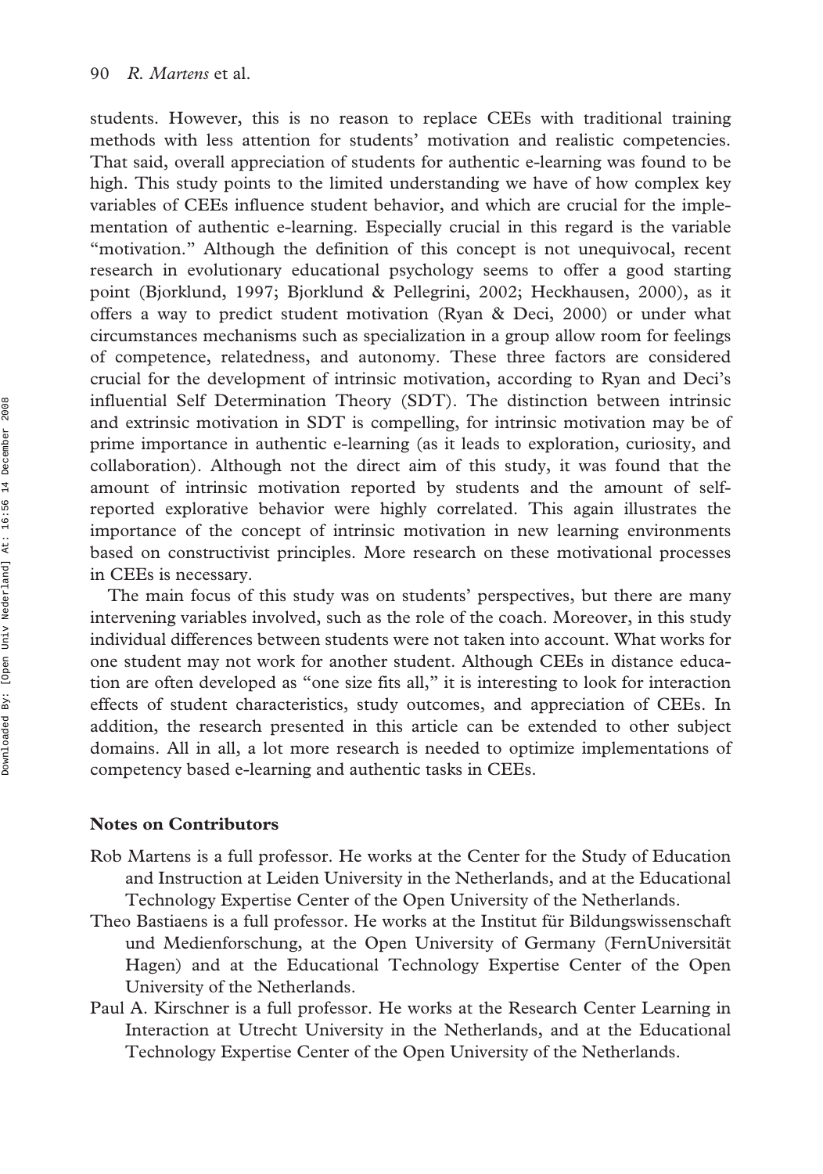students. However, this is no reason to replace CEEs with traditional training methods with less attention for students' motivation and realistic competencies. That said, overall appreciation of students for authentic e-learning was found to be high. This study points to the limited understanding we have of how complex key variables of CEEs influence student behavior, and which are crucial for the implementation of authentic e-learning. Especially crucial in this regard is the variable "motivation." Although the definition of this concept is not unequivocal, recent research in evolutionary educational psychology seems to offer a good starting point (Bjorklund, 1997; Bjorklund & Pellegrini, 2002; Heckhausen, 2000), as it offers a way to predict student motivation (Ryan & Deci, 2000) or under what circumstances mechanisms such as specialization in a group allow room for feelings of competence, relatedness, and autonomy. These three factors are considered crucial for the development of intrinsic motivation, according to Ryan and Deci's influential Self Determination Theory (SDT). The distinction between intrinsic and extrinsic motivation in SDT is compelling, for intrinsic motivation may be of prime importance in authentic e-learning (as it leads to exploration, curiosity, and collaboration). Although not the direct aim of this study, it was found that the amount of intrinsic motivation reported by students and the amount of selfreported explorative behavior were highly correlated. This again illustrates the importance of the concept of intrinsic motivation in new learning environments based on constructivist principles. More research on these motivational processes in CEEs is necessary.

The main focus of this study was on students' perspectives, but there are many intervening variables involved, such as the role of the coach. Moreover, in this study individual differences between students were not taken into account. What works for one student may not work for another student. Although CEEs in distance education are often developed as "one size fits all," it is interesting to look for interaction effects of student characteristics, study outcomes, and appreciation of CEEs. In addition, the research presented in this article can be extended to other subject domains. All in all, a lot more research is needed to optimize implementations of competency based e-learning and authentic tasks in CEEs.

#### **Notes on Contributors**

- Rob Martens is a full professor. He works at the Center for the Study of Education and Instruction at Leiden University in the Netherlands, and at the Educational Technology Expertise Center of the Open University of the Netherlands.
- Theo Bastiaens is a full professor. He works at the Institut für Bildungswissenschaft und Medienforschung, at the Open University of Germany (FernUniversität Hagen) and at the Educational Technology Expertise Center of the Open University of the Netherlands.
- Paul A. Kirschner is a full professor. He works at the Research Center Learning in Interaction at Utrecht University in the Netherlands, and at the Educational Technology Expertise Center of the Open University of the Netherlands.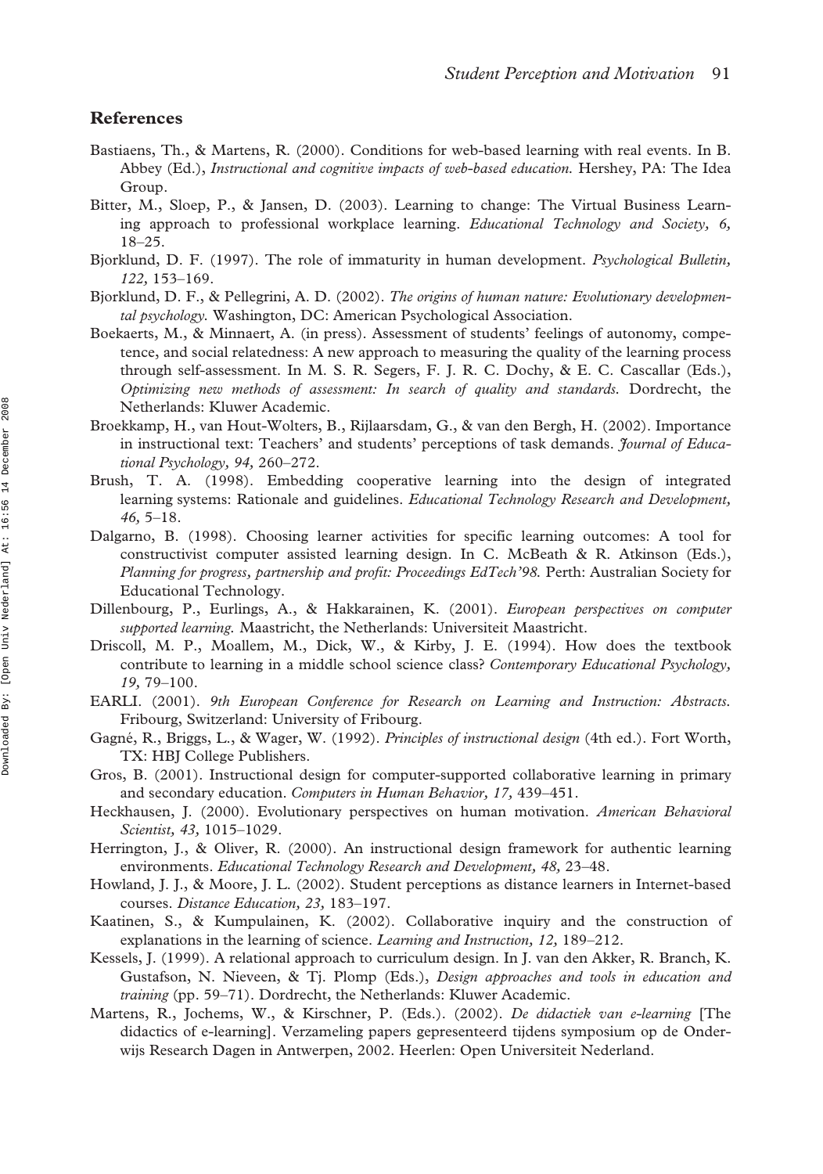#### **References**

- Bastiaens, Th., & Martens, R. (2000). Conditions for web-based learning with real events. In B. Abbey (Ed.), *Instructional and cognitive impacts of web-based education.* Hershey, PA: The Idea Group.
- Bitter, M., Sloep, P., & Jansen, D. (2003). Learning to change: The Virtual Business Learning approach to professional workplace learning. *Educational Technology and Society, 6,* 18–25.
- Bjorklund, D. F. (1997). The role of immaturity in human development. *Psychological Bulletin, 122,* 153–169.
- Bjorklund, D. F., & Pellegrini, A. D. (2002). *The origins of human nature: Evolutionary developmental psychology.* Washington, DC: American Psychological Association.
- Boekaerts, M., & Minnaert, A. (in press). Assessment of students' feelings of autonomy, competence, and social relatedness: A new approach to measuring the quality of the learning process through self-assessment. In M. S. R. Segers, F. J. R. C. Dochy, & E. C. Cascallar (Eds.), *Optimizing new methods of assessment: In search of quality and standards.* Dordrecht, the Netherlands: Kluwer Academic.
- Broekkamp, H., van Hout-Wolters, B., Rijlaarsdam, G., & van den Bergh, H. (2002). Importance in instructional text: Teachers' and students' perceptions of task demands. *Journal of Educational Psychology, 94,* 260–272.
- Brush, T. A. (1998). Embedding cooperative learning into the design of integrated learning systems: Rationale and guidelines. *Educational Technology Research and Development, 46,* 5–18.
- Dalgarno, B. (1998). Choosing learner activities for specific learning outcomes: A tool for constructivist computer assisted learning design. In C. McBeath & R. Atkinson (Eds.), *Planning for progress, partnership and profit: Proceedings EdTech'98.* Perth: Australian Society for Educational Technology.
- Dillenbourg, P., Eurlings, A., & Hakkarainen, K. (2001). *European perspectives on computer supported learning.* Maastricht, the Netherlands: Universiteit Maastricht.
- Driscoll, M. P., Moallem, M., Dick, W., & Kirby, J. E. (1994). How does the textbook contribute to learning in a middle school science class? *Contemporary Educational Psychology, 19,* 79–100.
- EARLI. (2001). *9th European Conference for Research on Learning and Instruction: Abstracts.* Fribourg, Switzerland: University of Fribourg.
- Gagné, R., Briggs, L., & Wager, W. (1992). *Principles of instructional design* (4th ed.). Fort Worth, TX: HBJ College Publishers.
- Gros, B. (2001). Instructional design for computer-supported collaborative learning in primary and secondary education. *Computers in Human Behavior, 17,* 439–451.
- Heckhausen, J. (2000). Evolutionary perspectives on human motivation. *American Behavioral Scientist, 43,* 1015–1029.
- Herrington, J., & Oliver, R. (2000). An instructional design framework for authentic learning environments. *Educational Technology Research and Development, 48,* 23–48.
- Howland, J. J., & Moore, J. L. (2002). Student perceptions as distance learners in Internet-based courses. *Distance Education, 23,* 183–197.
- Kaatinen, S., & Kumpulainen, K. (2002). Collaborative inquiry and the construction of explanations in the learning of science. *Learning and Instruction, 12,* 189–212.
- Kessels, J. (1999). A relational approach to curriculum design. In J. van den Akker, R. Branch, K. Gustafson, N. Nieveen, & Tj. Plomp (Eds.), *Design approaches and tools in education and training* (pp. 59–71). Dordrecht, the Netherlands: Kluwer Academic.
- Martens, R., Jochems, W., & Kirschner, P. (Eds.). (2002). *De didactiek van e-learning* [The didactics of e-learning]. Verzameling papers gepresenteerd tijdens symposium op de Onderwijs Research Dagen in Antwerpen, 2002. Heerlen: Open Universiteit Nederland.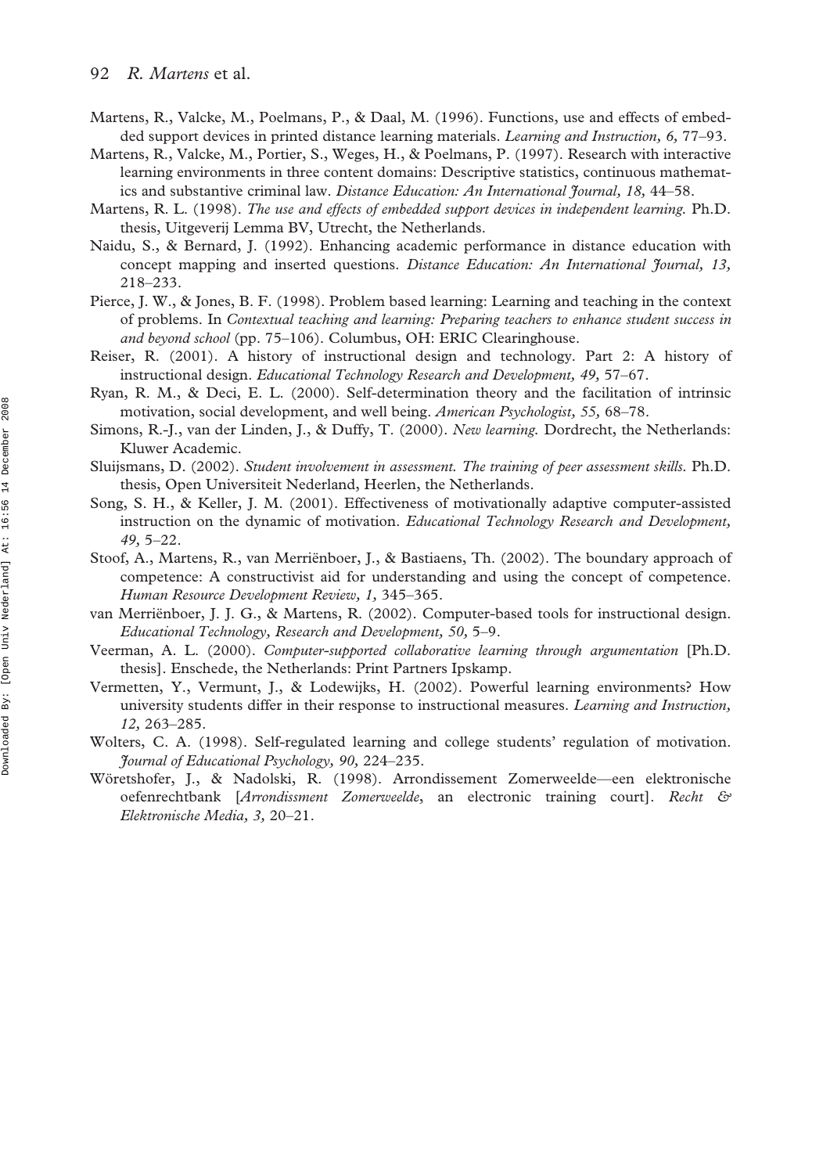- Martens, R., Valcke, M., Poelmans, P., & Daal, M. (1996). Functions, use and effects of embedded support devices in printed distance learning materials. *Learning and Instruction, 6,* 77–93.
- Martens, R., Valcke, M., Portier, S., Weges, H., & Poelmans, P. (1997). Research with interactive learning environments in three content domains: Descriptive statistics, continuous mathematics and substantive criminal law. *Distance Education: An International Journal, 18,* 44–58.
- Martens, R. L. (1998). *The use and effects of embedded support devices in independent learning.* Ph.D. thesis, Uitgeverij Lemma BV, Utrecht, the Netherlands.
- Naidu, S., & Bernard, J. (1992). Enhancing academic performance in distance education with concept mapping and inserted questions. *Distance Education: An International Journal, 13,* 218–233.
- Pierce, J. W., & Jones, B. F. (1998). Problem based learning: Learning and teaching in the context of problems. In *Contextual teaching and learning: Preparing teachers to enhance student success in and beyond school* (pp. 75–106). Columbus, OH: ERIC Clearinghouse.
- Reiser, R. (2001). A history of instructional design and technology. Part 2: A history of instructional design. *Educational Technology Research and Development, 49,* 57–67.
- Ryan, R. M., & Deci, E. L. (2000). Self-determination theory and the facilitation of intrinsic motivation, social development, and well being. *American Psychologist, 55,* 68–78.
- Simons, R.-J., van der Linden, J., & Duffy, T. (2000). *New learning.* Dordrecht, the Netherlands: Kluwer Academic.
- Sluijsmans, D. (2002). *Student involvement in assessment. The training of peer assessment skills.* Ph.D. thesis, Open Universiteit Nederland, Heerlen, the Netherlands.
- Song, S. H., & Keller, J. M. (2001). Effectiveness of motivationally adaptive computer-assisted instruction on the dynamic of motivation. *Educational Technology Research and Development, 49,* 5–22.
- Stoof, A., Martens, R., van Merriënboer, J., & Bastiaens, Th. (2002). The boundary approach of competence: A constructivist aid for understanding and using the concept of competence. *Human Resource Development Review, 1,* 345–365.
- van Merriënboer, J. J. G., & Martens, R. (2002). Computer-based tools for instructional design. *Educational Technology, Research and Development, 50,* 5–9.
- Veerman, A. L. (2000). *Computer-supported collaborative learning through argumentation* [Ph.D. thesis]. Enschede, the Netherlands: Print Partners Ipskamp.
- Vermetten, Y., Vermunt, J., & Lodewijks, H. (2002). Powerful learning environments? How university students differ in their response to instructional measures. *Learning and Instruction, 12,* 263–285.
- Wolters, C. A. (1998). Self-regulated learning and college students' regulation of motivation. *Journal of Educational Psychology, 90,* 224–235.
- Wöretshofer, J., & Nadolski, R. (1998). Arrondissement Zomerweelde—een elektronische oefenrechtbank [*Arrondissment Zomerweelde*, an electronic training court]. *Recht & Elektronische Media, 3,* 20–21.